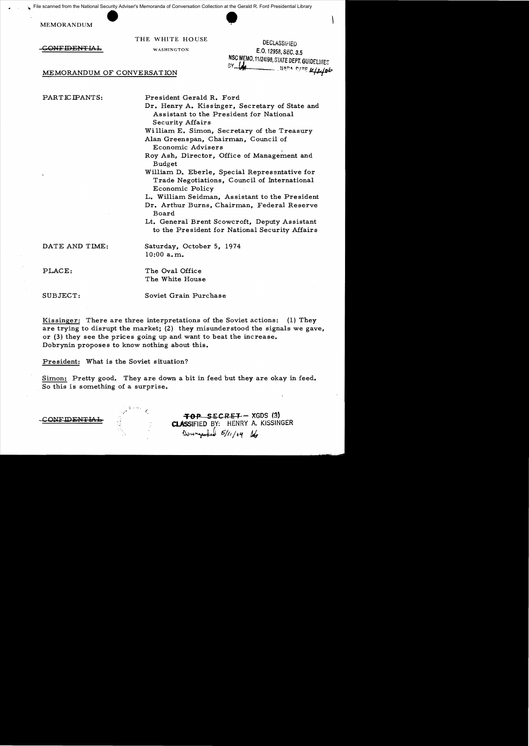• scanned from the National Security Adviser's Memoranda of Conversation Collection at the Gerald<br>MEMORANDUM<br>THE WHITE HOUSE File scanned from the National Security Adviser's Memoranda of Conversation Collection at the Gerald R. Ford Presidential Library

THE WHITE HOUSE DECLASSIFIED<br>
WASHINGTON **EQ.12959.059.0**  $\overline{GONFIDENTLAL}$  washington E.O. 12958, SEC. 3.5 NSC MEMO, 11/24/98, STATE DEPT. GUIDELINES<br>BY **UNITED FOR A DATE M/2/06** 

## MEMORANDUM OF CONVERSATION

PARTICIPANTS: President Gerald R. Ford

Dr. Henry A. Kissinger, Secretary of State and Assistant to the President for National Security Affairs

William E. Simon, Secretary of the Treasury Alan Greenspan, Chairman, Council of Economic Advisers "

Roy Ash, Director, Office of Management and Budget

William D. Eberle, Special Representative for Trade Negotiations, Council of International Economic Policy

- L. William Seidman, Assistant to the President
- Dr. Arthur Burns, Chairman, Federal Reserve Board

Lt. General Brent Scowcroft, Deputy Assistant to the President for National Security Affairs

DATE AND TIME: Saturday, October 5, 1974 10:00 a. m.

PLACE: The Oval Office The White House

SUBJECT: Soviet Grain Purchase

Kissinger: There are three interpretations of the Soviet actions: (1) They are trying to disrupt the market; (2) they misunderstood the signals we gave, or (3) they see the prices going up and want to beat the increase. Dobrynin proposes to know nothing about this.

President: What is the Soviet situation?

Simon: Pretty good. They are down a bit in feed but they are okay in feed. So this is something of a surprise.

. , ",

~OP SECRST XGDS (g) , CONFIDEN!i'lAL ClAssiFIED BY: HENRY A. KISSINGER ~w~ *6J11* / 61 IJ.,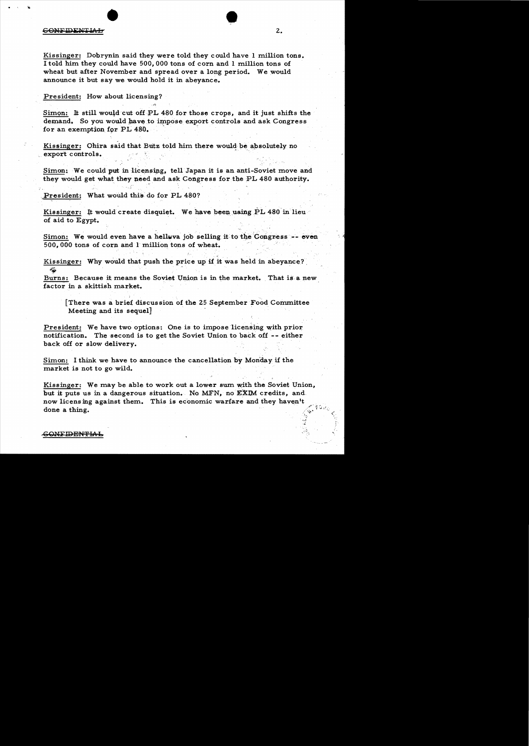#### CONFIDENTIAL

Kissinger: Dobrynin said they were told they could have I million tons. I told him they could have 500,000 tons of corn and I million tons of wheat but after November and spread over a long period. We would announce it but say we would hold it in abeyance.

## President: How about licensing?

Simon: It still would cut off PL 480 for those crops, and it just shifts the demand. So you would have to impose export controls and ask Congress for an exemption for PL 480.

Kissinger: Ohira said that Butz told him there would be absolutely no export controls. .

Simon: We could put in licensing, tell Japan it is an anti-Soviet move and they would get what they need and ask Congress for the PL 480 authority.

President: What would this do for PL 480?

Kissinger: It would create disquiet. We have been using PL 480 in lieu of aid to Egypt. .

Simon: We would even have a helluva job selling it to the Congress -- even 500,000 tons of corn and 1 million tons of wheat.

Kissinger: Why would that push the price up if it was held in abeyance?  $-49^{\circ}$ 

Burns: Because it means the Soviet Union is in the market. That is a new factor in a skittish market.

 $[There was a brief discussion of the 25 September Food Committee]$ Meeting and its sequel]

President: We have two options: One is to impose licensing with prior notification. The second is to get the Soviet Union to back off -- either back off or slow delivery.

Simon: I think we have to announce the cancellation by Mon'day if the market is not to go wild.

Kissinger: We may be able to work out a lower sum with the Soviet Union, but it puts us in a dangerous situation. No MFN, no EXIM credits, and now licensing against them. This is economic warfare and they haven't done a thing.

# <del>COMEIDENTIA]</del>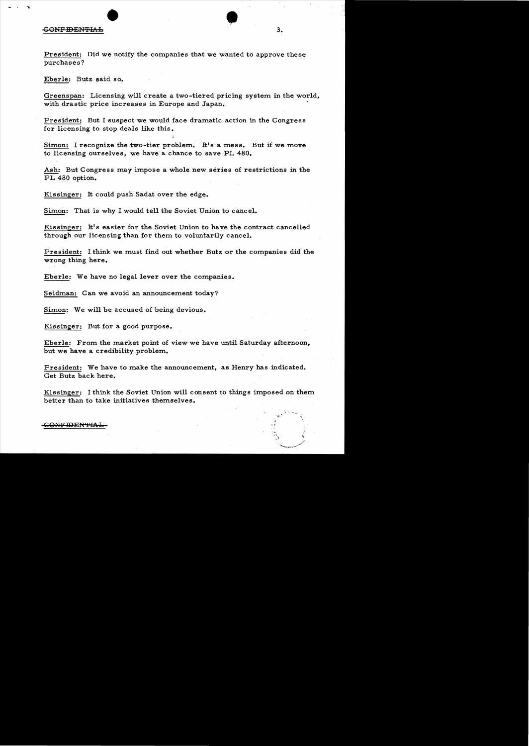#### **GONFIDENTIAL**

President: Did we notify the companies that we wanted to approve these purchases?

Eberle: Butz said so.

Greenspan: Licensing will create a two-tiered pricing system in the world, with drastic price increases in Europe and Japan. .

President: But I suspect we would face dramatic action in the Congress for licensing to stop deals like this.

Simon: I recognize the two-tier problem. It's a mess. But if we move to licensing ourselves, we have. a chance to save PL 480.

Ash: But Congress may impose a whole new series of restrictions in the PL 480 option.

Kissinger: It could push Sadat over the edge.

Simon: That is why I would tell the Soviet Union to cancel.

Kissinger: It's easier for the Soviet Union to have the contract cancelled through our licensing than for them to voluntarily cancel.

President: I think we must find out whether Butz or the companies did the wrong thing here.

Eberle: We have no legal lever over the companies.

Seidman: Can we avoid an announcement today?

Simon: We will be accused of being devious.

Kissinger: But for a good purpose.

Eberle: From the market point of view we have until Saturday afternoon, but we have a credibility problem.

President: We have to make the announcement, as Henry has indicated. Get Butz back here.

Kissinger: I think the Soviet Union will consent to things imposed on them better than to take initiatives themselves.

## $\sub{\rm GONF\text{-}IDEN\text{-}IAI}$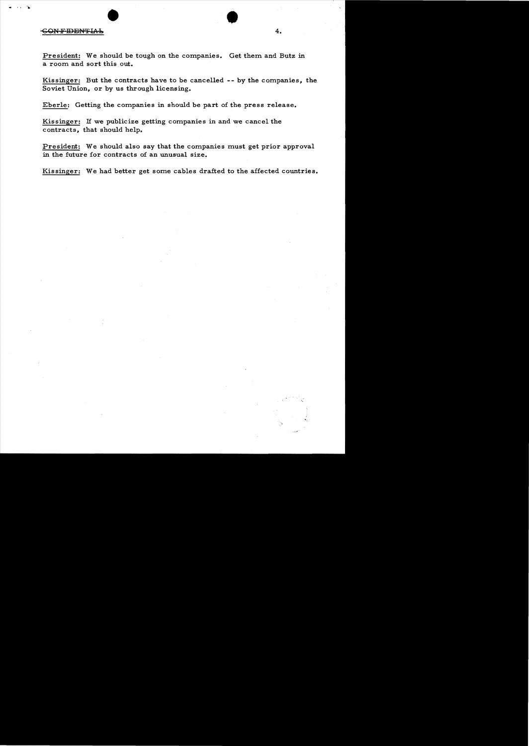# • • .. .. .  $-$ <del>G ON F IDENTIAL .</del> 4.

President: We should be tough on the companies. Get them and Butz in a room and sort this out.

Kissinger: But the contracts have to be cancelled -- by the companies, the Soviet Union, or by us through licensing.

Eberle: Getting the companies in should be part of the press release.

Kissinger: H we publicize getting companies in and we cancel the contracts, that should help.

President: We should also say that the companies must get prior approval in the future for contracts of an unusual size.

Kissinger: We had better get some cables drafted to the affected countries.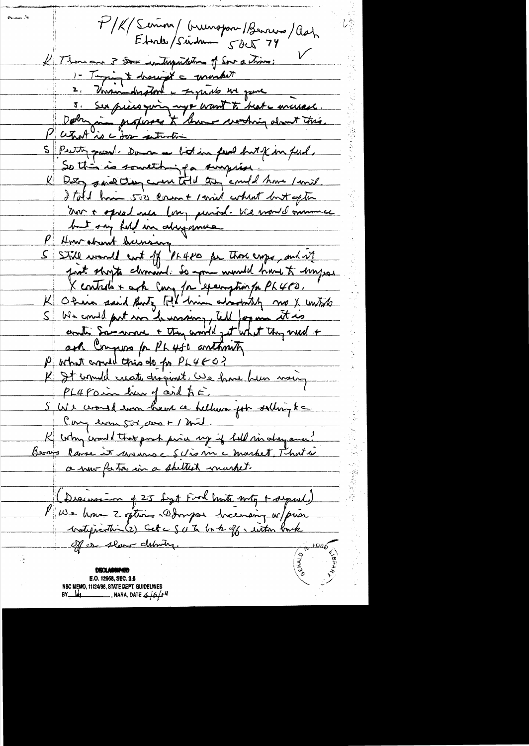I. man I P/K/Semon/ Grunspon/Benners/Ash Ebrille / Seindrum 5 det 74 I Thousand 3 Some interpretetion of Sour a chimne : 1- Taging & hought a monther 2. Unswinderstord in Figurado un game 3. Sex pieces you my a want to heat a massach Debra in propises à buon vorting dont this.<br>Patrol is a for entroin S Putty pour Doman a litting feel but & in feel So this is something for surprise Daty sind they can told they' could have I mind. I told have size coment / will when t wit aptin Un + opral nea (on, period- We would mummer but ony feli in abigance P How abount hunsing "<br>5 Still woodl ent of PL480 for Those exps, and it just shorts chronicly to pour would have to happer X controls + ach Cong /n 'exemption for PL 400," We could put me he wasny, tell for in it is <u>S 1</u> anti Sanswer + they would get what they need + ask Compose for Ph 450 anthonity Purhat crowd this do for PL480? K It would create disginet. We have her waig PL4 Farm har of and to E. S We would was have a hellum for solling to Congeron 500,000 + 1 mil. K why comment that post paris my if hell six along avec? a nour factor in a sheltish market. (Discussion of 25 Sept Food both noty + separal) V We have 2 often Dongar hermany w/prior <u> votification (2) Cet c S v to bo to off a within back</u> Off or show debring. DECLARAPHY. E.O. 12958, SEC. 3.5 NSC MEMO, 11/24/98, STATE DEPT. GUIDELINES

BY  $\frac{1}{4}$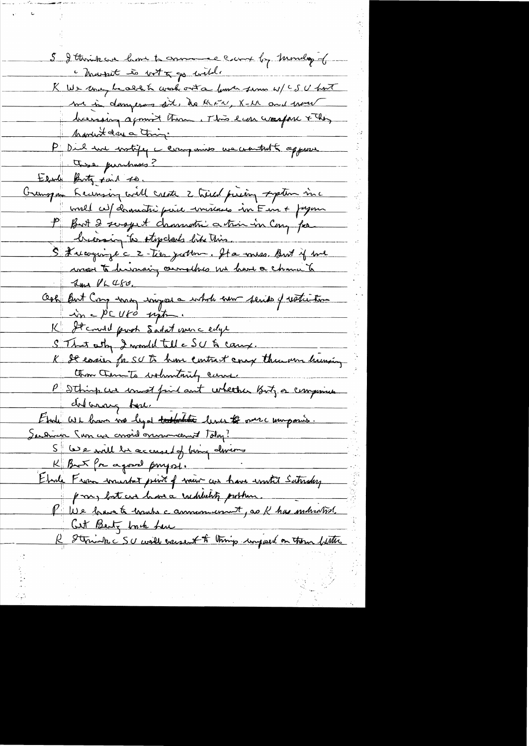$\frac{1}{\sqrt{2}}\int_{0}^{\sqrt{2}}\frac{1}{\sqrt{2}}\left( \frac{1}{2}\frac{\left( \frac{1}{2}\right) ^{2}}{\sqrt{2}}\right) \frac{1}{2}d\mu$ 

 $\frac{1}{2}$  ,  $\frac{1}{2}$ 

中<br>14日<br>14日